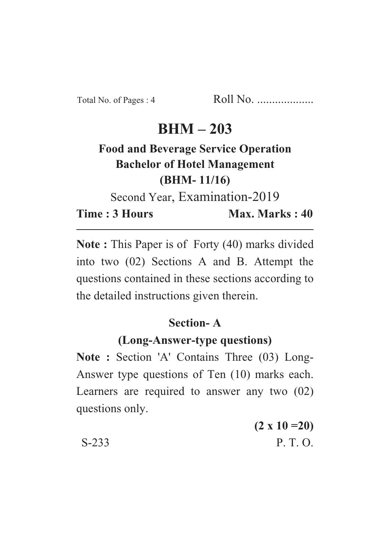## **BHM – 203**

# **Food and Beverage Service Operation Bachelor of Hotel Management (BHM- 11/16)**

Second Year, Examination-2019

**Time : 3 Hours Max. Marks : 40** 

**Note :** This Paper is of Forty (40) marks divided into two (02) Sections A and B. Attempt the questions contained in these sections according to the detailed instructions given therein.

## **Section- A**

## **(Long-Answer-type questions)**

**Note :** Section 'A' Contains Three (03) Long-Answer type questions of Ten (10) marks each. Learners are required to answer any two (02) questions only.

|         | $(2 \times 10 = 20)$ |
|---------|----------------------|
| $S-233$ | P. T. O.             |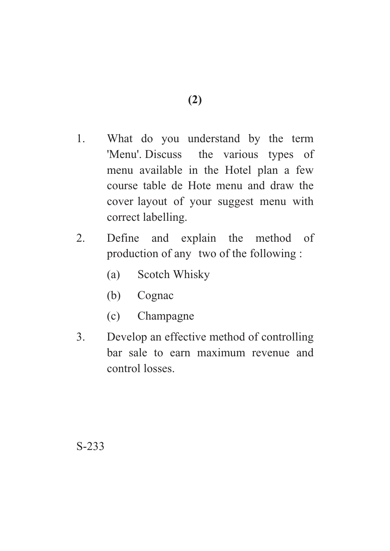- 1. What do you understand by the term 'Menu'. Discuss the various types of menu available in the Hotel plan a few course table de Hote menu and draw the cover layout of your suggest menu with correct labelling.
- 2. Define and explain the method of production of any two of the following :
	- (a) Scotch Whisky
	- (b) Cognac
	- (c) Champagne
- 3. Develop an effective method of controlling bar sale to earn maximum revenue and control losses.

S-233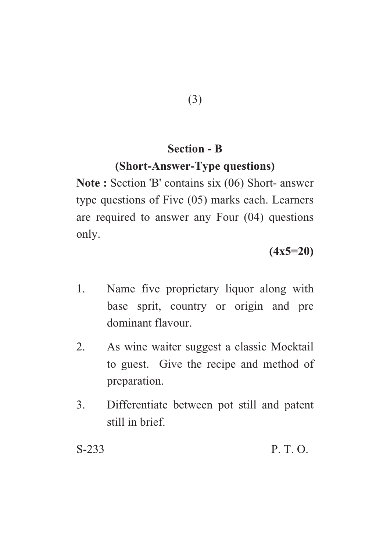#### **Section - B**

#### **(Short-Answer-Type questions)**

**Note :** Section 'B' contains six (06) Short- answer type questions of Five (05) marks each. Learners are required to answer any Four (04) questions only.

## **(4x5=20)**

- 1. Name five proprietary liquor along with base sprit, country or origin and pre dominant flavour.
- 2. As wine waiter suggest a classic Mocktail to guest. Give the recipe and method of preparation.
- 3. Differentiate between pot still and patent still in brief.

S-233 P. T. O.

(3)